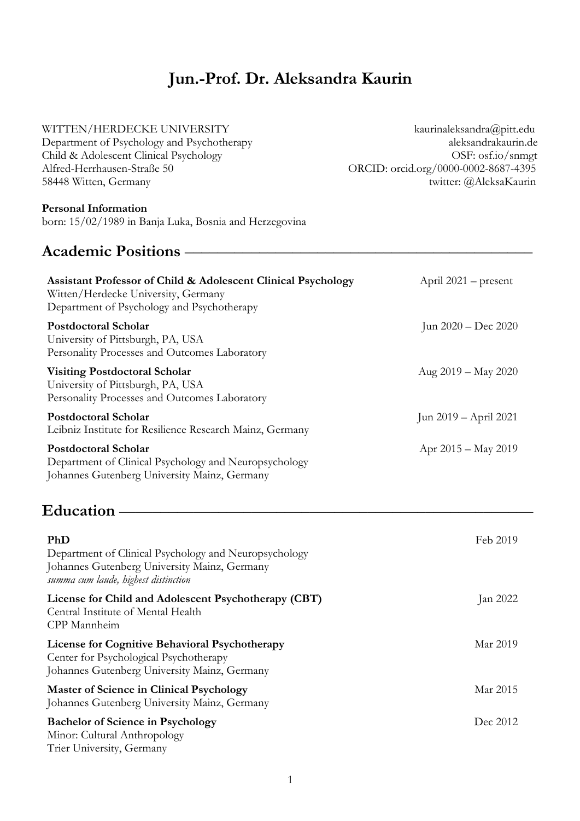## **Jun.-Prof. Dr. Aleksandra Kaurin**

#### WITTEN/HERDECKE UNIVERSITY kaurinaleksandra@pitt.edu

Department of Psychology and Psychotherapy aleksandrakaurin.de Child & Adolescent Clinical Psychology OSF: osf.io/snmgt Alfred-Herrhausen-Straße 50 ORCID: orcid.org/0000-0002-8687-4395 58448 Witten, Germany twitter: @AleksaKaurin

### **Personal Information**

born: 15/02/1989 in Banja Luka, Bosnia and Herzegovina

## Academic Positions **– Assistant Professor of Child & Adolescent Clinical Psychology** Witten/Herdecke University, Germany Department of Psychology and Psychotherapy April 2021 – present **Postdoctoral Scholar** University of Pittsburgh, PA, USA Personality Processes and Outcomes Laboratory Jun 2020 – Dec 2020 **Visiting Postdoctoral Scholar** University of Pittsburgh, PA, USA Personality Processes and Outcomes Laboratory Aug 2019 – May 2020 **Postdoctoral Scholar** Leibniz Institute for Resilience Research Mainz, Germany Jun 2019 – April 2021 **Postdoctoral Scholar** Department of Clinical Psychology and Neuropsychology Johannes Gutenberg University Mainz, Germany Apr 2015 – May 2019 **Education** –––––––––––––––––––––––––––––––––––––––––––––––––– **PhD**  Department of Clinical Psychology and Neuropsychology Johannes Gutenberg University Mainz, Germany *summa cum laude, highest distinction* Feb 2019 **License for Child and Adolescent Psychotherapy (CBT)** Central Institute of Mental Health CPP Mannheim Jan 2022 Mar 2019

**License for Cognitive Behavioral Psychotherapy** Center for Psychological Psychotherapy Johannes Gutenberg University Mainz, Germany

| <b>Master of Science in Clinical Psychology</b><br>Johannes Gutenberg University Mainz, Germany | Mar 2015 |
|-------------------------------------------------------------------------------------------------|----------|
| <b>Bachelor of Science in Psychology</b>                                                        | Dec 2012 |
| Minor: Cultural Anthropology                                                                    |          |
| Trier University, Germany                                                                       |          |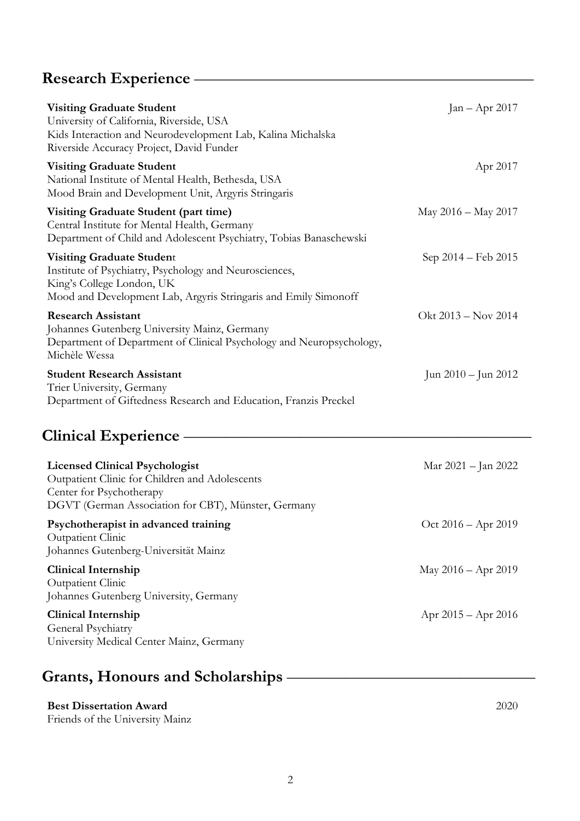# **Research Experience** –––––––––––––––––––––––––––––––––––––––––

| <b>Visiting Graduate Student</b><br>University of California, Riverside, USA<br>Kids Interaction and Neurodevelopment Lab, Kalina Michalska<br>Riverside Accuracy Project, David Funder    | $Jan - Apr 2017$        |
|--------------------------------------------------------------------------------------------------------------------------------------------------------------------------------------------|-------------------------|
| <b>Visiting Graduate Student</b><br>National Institute of Mental Health, Bethesda, USA<br>Mood Brain and Development Unit, Argyris Stringaris                                              | Apr 2017                |
| Visiting Graduate Student (part time)<br>Central Institute for Mental Health, Germany<br>Department of Child and Adolescent Psychiatry, Tobias Banaschewski                                | May 2016 - May 2017     |
| <b>Visiting Graduate Student</b><br>Institute of Psychiatry, Psychology and Neurosciences,<br>King's College London, UK<br>Mood and Development Lab, Argyris Stringaris and Emily Simonoff | Sep 2014 – Feb 2015     |
| <b>Research Assistant</b><br>Johannes Gutenberg University Mainz, Germany<br>Department of Department of Clinical Psychology and Neuropsychology,<br>Michèle Wessa                         | Okt 2013 – Nov 2014     |
| <b>Student Research Assistant</b><br>Trier University, Germany<br>Department of Giftedness Research and Education, Franzis Preckel                                                         | Jun 2010 – Jun 2012     |
| Clinical Experience —                                                                                                                                                                      |                         |
| <b>Licensed Clinical Psychologist</b><br>Outpatient Clinic for Children and Adolescents<br>Center for Psychotherapy<br>DGVT (German Association for CBT), Münster, Germany                 | Mar 2021 – Jan 2022     |
| Psychotherapist in advanced training<br>Outpatient Clinic<br>Johannes Gutenberg-Universität Mainz                                                                                          | Oct 2016 – Apr 2019     |
| <b>Clinical Internship</b><br>Outpatient Clinic<br>Johannes Gutenberg University, Germany                                                                                                  | May 2016 – Apr 2019     |
| <b>Clinical Internship</b><br>General Psychiatry<br>University Medical Center Mainz, Germany                                                                                               | Apr $2015 -$ Apr $2016$ |

# Grants, Honours and Scholarships -

## **Best Dissertation Award**

Friends of the University Mainz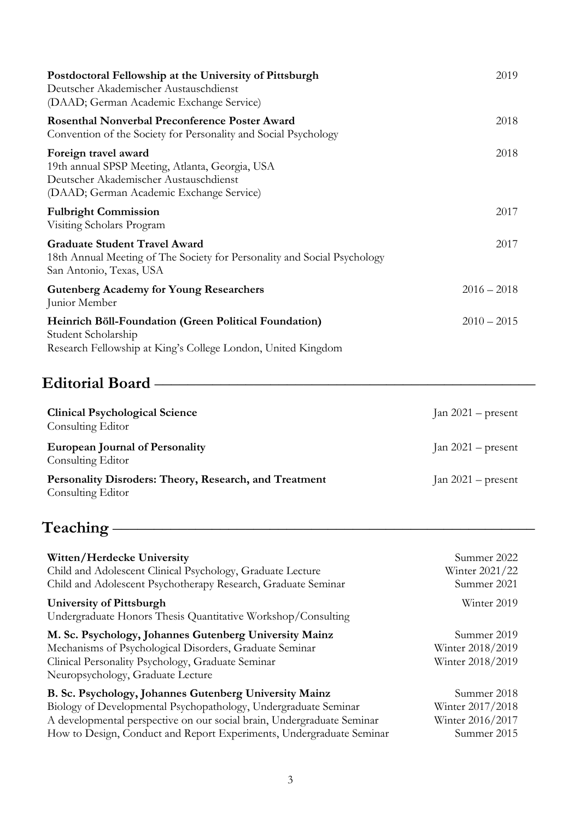| Postdoctoral Fellowship at the University of Pittsburgh<br>Deutscher Akademischer Austauschdienst<br>(DAAD; German Academic Exchange Service)                 | 2019          |
|---------------------------------------------------------------------------------------------------------------------------------------------------------------|---------------|
| <b>Rosenthal Nonverbal Preconference Poster Award</b><br>Convention of the Society for Personality and Social Psychology                                      | 2018          |
| Foreign travel award<br>19th annual SPSP Meeting, Atlanta, Georgia, USA<br>Deutscher Akademischer Austauschdienst<br>(DAAD; German Academic Exchange Service) | 2018          |
| <b>Fulbright Commission</b><br>Visiting Scholars Program                                                                                                      | 2017          |
| <b>Graduate Student Travel Award</b><br>18th Annual Meeting of The Society for Personality and Social Psychology<br>San Antonio, Texas, USA                   | 2017          |
| <b>Gutenberg Academy for Young Researchers</b><br>Junior Member                                                                                               | $2016 - 2018$ |
| Heinrich Böll-Foundation (Green Political Foundation)<br>Student Scholarship<br>Research Fellowship at King's College London, United Kingdom                  | $2010 - 2015$ |

# **Editorial Board** ––––––––––––––––––––––––––––––––––––––––––––––

| <b>Clinical Psychological Science</b><br>Consulting Editor                  | Jan $2021$ – present |
|-----------------------------------------------------------------------------|----------------------|
| <b>European Journal of Personality</b><br>Consulting Editor                 | Jan $2021$ – present |
| Personality Disroders: Theory, Research, and Treatment<br>Consulting Editor | Jan $2021$ – present |

# **Teaching** –––––––––––––––––––––––––––––––––––––––––––––––––––

| Witten/Herdecke University                                                                                                                                                                                  | Summer 2022                                         |
|-------------------------------------------------------------------------------------------------------------------------------------------------------------------------------------------------------------|-----------------------------------------------------|
| Child and Adolescent Clinical Psychology, Graduate Lecture                                                                                                                                                  | Winter 2021/22                                      |
| Child and Adolescent Psychotherapy Research, Graduate Seminar                                                                                                                                               | Summer 2021                                         |
| University of Pittsburgh<br>Undergraduate Honors Thesis Quantitative Workshop/Consulting                                                                                                                    | Winter 2019                                         |
| M. Sc. Psychology, Johannes Gutenberg University Mainz<br>Mechanisms of Psychological Disorders, Graduate Seminar<br>Clinical Personality Psychology, Graduate Seminar<br>Neuropsychology, Graduate Lecture | Summer 2019<br>Winter 2018/2019<br>Winter 2018/2019 |
| B. Sc. Psychology, Johannes Gutenberg University Mainz                                                                                                                                                      | Summer 2018                                         |
| Biology of Developmental Psychopathology, Undergraduate Seminar                                                                                                                                             | Winter 2017/2018                                    |
| A developmental perspective on our social brain, Undergraduate Seminar                                                                                                                                      | Winter 2016/2017                                    |
| How to Design, Conduct and Report Experiments, Undergraduate Seminar                                                                                                                                        | Summer 2015                                         |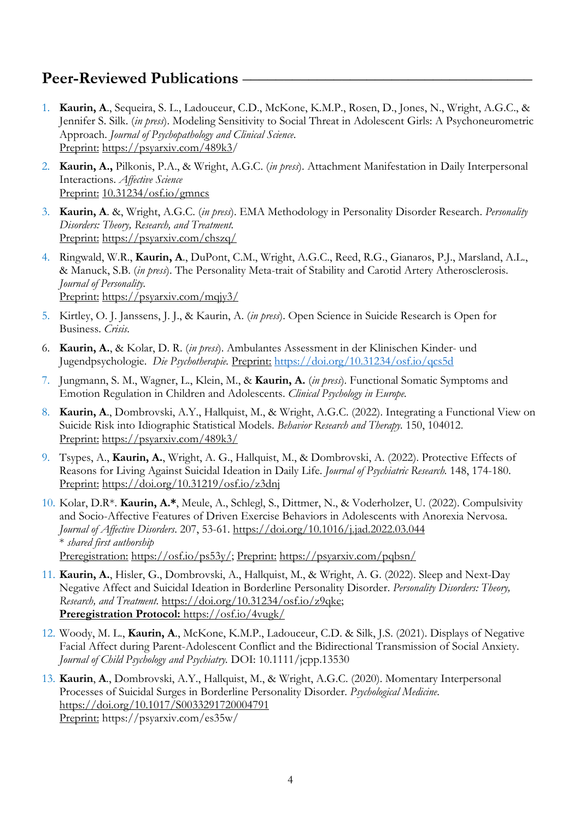## **Peer-Reviewed Publications**

- 1. **Kaurin, A**., Sequeira, S. L., Ladouceur, C.D., McKone, K.M.P., Rosen, D., Jones, N., Wright, A.G.C., & Jennifer S. Silk. (*in press*). Modeling Sensitivity to Social Threat in Adolescent Girls: A Psychoneurometric Approach. *Journal of Psychopathology and Clinical Science*. Preprint: https://psyarxiv.com/489k3/
- 2. **Kaurin, A.,** Pilkonis, P.A., & Wright, A.G.C. (*in press*). Attachment Manifestation in Daily Interpersonal Interactions. *Affective Science* Preprint: 10.31234/osf.io/gmncs
- 3. **Kaurin, A**. &, Wright, A.G.C. (*in press*). EMA Methodology in Personality Disorder Research. *Personality Disorders: Theory, Research, and Treatment.* Preprint: https://psyarxiv.com/chszq/
- 4. Ringwald, W.R., **Kaurin, A**., DuPont, C.M., Wright, A.G.C., Reed, R.G., Gianaros, P.J., Marsland, A.L., & Manuck, S.B. (*in press*). The Personality Meta-trait of Stability and Carotid Artery Atherosclerosis. *Journal of Personality.* Preprint: https://psyarxiv.com/mqjy3/
- 5. Kirtley, O. J. Janssens, J. J., & Kaurin, A. (*in press*). Open Science in Suicide Research is Open for Business. *Crisis*.
- 6. **Kaurin, A.**, & Kolar, D. R. (*in press*). Ambulantes Assessment in der Klinischen Kinder- und Jugendpsychologie. *Die Psychotherapie.* Preprint: https://doi.org/10.31234/osf.io/qcs5d
- 7. Jungmann, S. M., Wagner, L., Klein, M., & **Kaurin, A.** (*in press*). Functional Somatic Symptoms and Emotion Regulation in Children and Adolescents. *Clinical Psychology in Europe.*
- 8. **Kaurin, A**., Dombrovski, A.Y., Hallquist, M., & Wright, A.G.C. (2022). Integrating a Functional View on Suicide Risk into Idiographic Statistical Models. *Behavior Research and Therapy.* 150, 104012. Preprint: https://psyarxiv.com/489k3/
- 9. Tsypes, A., **Kaurin, A.**, Wright, A. G., Hallquist, M., & Dombrovski, A. (2022). Protective Effects of Reasons for Living Against Suicidal Ideation in Daily Life. *Journal of Psychiatric Research.* 148, 174-180. Preprint: https://doi.org/10.31219/osf.io/z3dnj
- 10. Kolar, D.R\*. **Kaurin, A.\***, Meule, A., Schlegl, S., Dittmer, N., & Voderholzer, U. (2022). Compulsivity and Socio-Affective Features of Driven Exercise Behaviors in Adolescents with Anorexia Nervosa. *Journal of Affective Disorders*. 207, 53-61. https://doi.org/10.1016/j.jad.2022.03.044 \* *shared first authorship* Preregistration: https://osf.io/ps53y/; Preprint: https://psyarxiv.com/pqbsn/
- 11. **Kaurin, A.**, Hisler, G., Dombrovski, A., Hallquist, M., & Wright, A. G. (2022). Sleep and Next-Day Negative Affect and Suicidal Ideation in Borderline Personality Disorder. *Personality Disorders: Theory, Research, and Treatment*. https://doi.org/10.31234/osf.io/z9qke; **Preregistration Protocol:** https://osf.io/4vugk/
- 12. Woody, M. L., **Kaurin, A**., McKone, K.M.P., Ladouceur, C.D. & Silk, J.S. (2021). Displays of Negative Facial Affect during Parent-Adolescent Conflict and the Bidirectional Transmission of Social Anxiety. *Journal of Child Psychology and Psychiatry.* DOI: 10.1111/jcpp.13530
- 13. **Kaurin**, **A**., Dombrovski, A.Y., Hallquist, M., & Wright, A.G.C. (2020). Momentary Interpersonal Processes of Suicidal Surges in Borderline Personality Disorder. *Psychological Medicine*. https://doi.org/10.1017/S0033291720004791 Preprint: https://psyarxiv.com/es35w/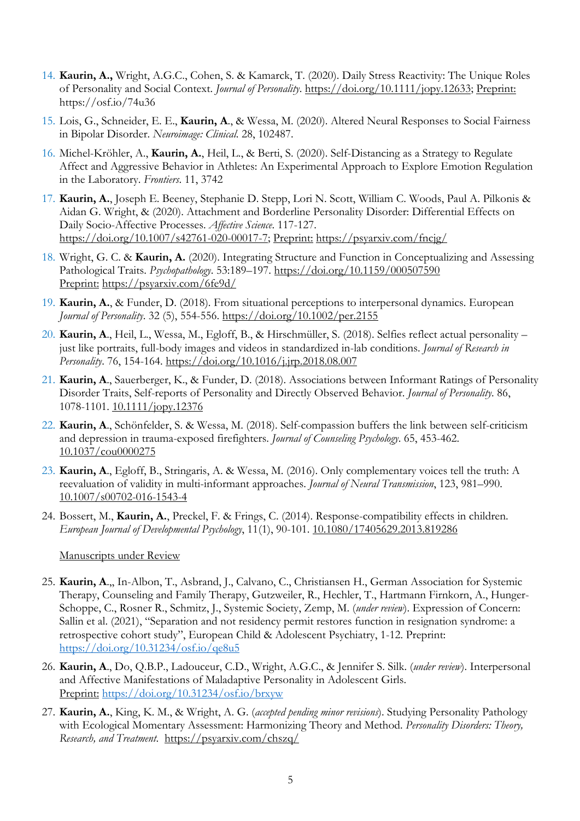- 14. **Kaurin, A.,** Wright, A.G.C., Cohen, S. & Kamarck, T. (2020). Daily Stress Reactivity: The Unique Roles of Personality and Social Context. *Journal of Personality*. https://doi.org/10.1111/jopy.12633; Preprint: https://osf.io/74u36
- 15. Lois, G., Schneider, E. E., **Kaurin, A**., & Wessa, M. (2020). Altered Neural Responses to Social Fairness in Bipolar Disorder. *Neuroimage: Clinical*. 28, 102487.
- 16. Michel-Kröhler, A., **Kaurin, A.**, Heil, L., & Berti, S. (2020). Self-Distancing as a Strategy to Regulate Affect and Aggressive Behavior in Athletes: An Experimental Approach to Explore Emotion Regulation in the Laboratory. *Frontiers*. 11, 3742
- 17. **Kaurin, A.**, Joseph E. Beeney, Stephanie D. Stepp, Lori N. Scott, William C. Woods, Paul A. Pilkonis & Aidan G. Wright, & (2020). Attachment and Borderline Personality Disorder: Differential Effects on Daily Socio-Affective Processes. *Affective Science*. 117-127. https://doi.org/10.1007/s42761-020-00017-7; Preprint: https://psyarxiv.com/fncjg/
- 18. Wright, G. C. & **Kaurin, A.** (2020). Integrating Structure and Function in Conceptualizing and Assessing Pathological Traits. *Psychopathology*. 53:189–197. https://doi.org/10.1159/000507590 Preprint: https://psyarxiv.com/6fe9d/
- 19. **Kaurin, A.**, & Funder, D. (2018). From situational perceptions to interpersonal dynamics. European *Journal of Personality*. 32 (5), 554-556. https://doi.org/10.1002/per.2155
- 20. **Kaurin, A**., Heil, L., Wessa, M., Egloff, B., & Hirschmüller, S. (2018). Selfies reflect actual personality just like portraits, full-body images and videos in standardized in-lab conditions. *Journal of Research in Personality*. 76, 154-164. https://doi.org/10.1016/j.jrp.2018.08.007
- 21. **Kaurin, A**., Sauerberger, K., & Funder, D. (2018). Associations between Informant Ratings of Personality Disorder Traits, Self-reports of Personality and Directly Observed Behavior. *Journal of Personality*. 86, 1078-1101. 10.1111/jopy.12376
- 22. **Kaurin, A**., Schönfelder, S. & Wessa, M. (2018). Self-compassion buffers the link between self-criticism and depression in trauma-exposed firefighters. *Journal of Counseling Psychology*. 65, 453-462. 10.1037/cou0000275
- 23. **Kaurin, A**., Egloff, B., Stringaris, A. & Wessa, M. (2016). Only complementary voices tell the truth: A reevaluation of validity in multi-informant approaches. *Journal of Neural Transmission*, 123, 981–990. 10.1007/s00702-016-1543-4
- 24. Bossert, M., **Kaurin, A.**, Preckel, F. & Frings, C. (2014). Response-compatibility effects in children. *European Journal of Developmental Psychology*, 11(1), 90-101. 10.1080/17405629.2013.819286

### Manuscripts under Review

- 25. **Kaurin, A**.,, In-Albon, T., Asbrand, J., Calvano, C., Christiansen H., German Association for Systemic Therapy, Counseling and Family Therapy, Gutzweiler, R., Hechler, T., Hartmann Firnkorn, A., Hunger-Schoppe, C., Rosner R., Schmitz, J., Systemic Society, Zemp, M. (*under review*). Expression of Concern: Sallin et al. (2021), "Separation and not residency permit restores function in resignation syndrome: a retrospective cohort study", European Child & Adolescent Psychiatry, 1-12. Preprint: https://doi.org/10.31234/osf.io/qe8u5
- 26. **Kaurin, A**., Do, Q.B.P., Ladouceur, C.D., Wright, A.G.C., & Jennifer S. Silk. (*under review*). Interpersonal and Affective Manifestations of Maladaptive Personality in Adolescent Girls. Preprint: https://doi.org/10.31234/osf.io/brxyw
- 27. **Kaurin, A.**, King, K. M., & Wright, A. G. (*accepted pending minor revisions*). Studying Personality Pathology with Ecological Momentary Assessment: Harmonizing Theory and Method. *Personality Disorders: Theory, Research, and Treatment*. https://psyarxiv.com/chszq/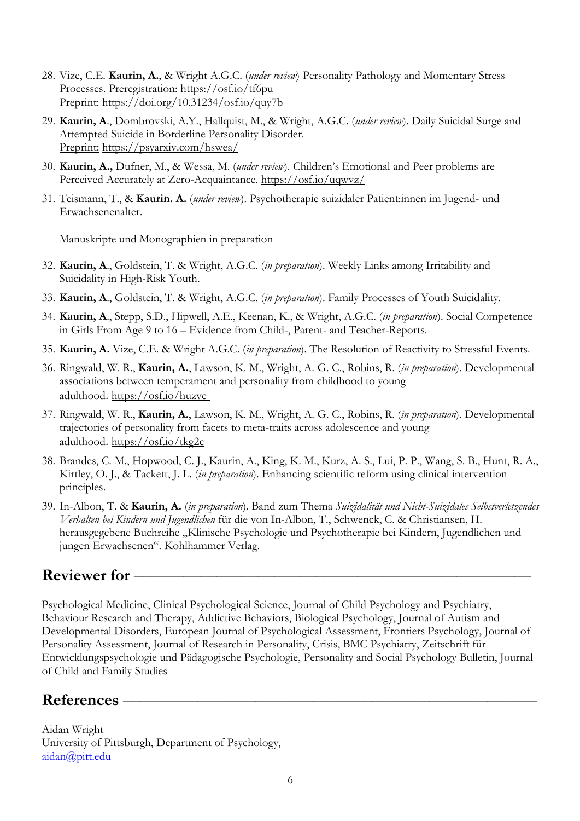- 28. Vize, C.E. **Kaurin, A.**, & Wright A.G.C. (*under review*) Personality Pathology and Momentary Stress Processes. Preregistration: https://osf.io/tf6pu Preprint: https://doi.org/10.31234/osf.io/quy7b
- 29. **Kaurin, A**., Dombrovski, A.Y., Hallquist, M., & Wright, A.G.C. (*under review*). Daily Suicidal Surge and Attempted Suicide in Borderline Personality Disorder. Preprint: https://psyarxiv.com/hswea/
- 30. **Kaurin, A.,** Dufner, M., & Wessa, M. (*under review*). Children's Emotional and Peer problems are Perceived Accurately at Zero-Acquaintance. https://osf.io/uqwvz/
- 31. Teismann, T., & **Kaurin. A.** (*under review*). Psychotherapie suizidaler Patient:innen im Jugend- und Erwachsenenalter.

Manuskripte und Monographien in preparation

- 32. **Kaurin, A**., Goldstein, T. & Wright, A.G.C. (*in preparation*). Weekly Links among Irritability and Suicidality in High-Risk Youth.
- 33. **Kaurin, A**., Goldstein, T. & Wright, A.G.C. (*in preparation*). Family Processes of Youth Suicidality.
- 34. **Kaurin, A**., Stepp, S.D., Hipwell, A.E., Keenan, K., & Wright, A.G.C. (*in preparation*). Social Competence in Girls From Age 9 to 16 – Evidence from Child-, Parent- and Teacher-Reports.
- 35. **Kaurin, A.** Vize, C.E. & Wright A.G.C. (*in preparation*). The Resolution of Reactivity to Stressful Events.
- 36. Ringwald, W. R., **Kaurin, A.**, Lawson, K. M., Wright, A. G. C., Robins, R. (*in preparation*). Developmental associations between temperament and personality from childhood to young adulthood. https://osf.io/huzve
- 37. Ringwald, W. R., **Kaurin, A.**, Lawson, K. M., Wright, A. G. C., Robins, R. (*in preparation*). Developmental trajectories of personality from facets to meta-traits across adolescence and young adulthood. https://osf.io/tkg2c
- 38. Brandes, C. M., Hopwood, C. J., Kaurin, A., King, K. M., Kurz, A. S., Lui, P. P., Wang, S. B., Hunt, R. A., Kirtley, O. J., & Tackett, J. L. (*in preparation*). Enhancing scientific reform using clinical intervention principles.
- 39. In-Albon, T. & **Kaurin, A.** (*in preparation*). Band zum Thema *Suizidalität und Nicht-Suizidales Selbstverletzendes Verhalten bei Kindern und Jugendlichen* für die von In-Albon, T., Schwenck, C. & Christiansen, H. herausgegebene Buchreihe "Klinische Psychologie und Psychotherapie bei Kindern, Jugendlichen und jungen Erwachsenen". Kohlhammer Verlag.

## **Reviewer for -**

Psychological Medicine, Clinical Psychological Science, Journal of Child Psychology and Psychiatry, Behaviour Research and Therapy, Addictive Behaviors, Biological Psychology, Journal of Autism and Developmental Disorders, European Journal of Psychological Assessment, Frontiers Psychology, Journal of Personality Assessment, Journal of Research in Personality, Crisis, BMC Psychiatry, Zeitschrift für Entwicklungspsychologie und Pädagogische Psychologie, Personality and Social Psychology Bulletin, Journal of Child and Family Studies

## **References** ––––––––––––––––––––––––––––––––––––––––––––––––––

Aidan Wright University of Pittsburgh, Department of Psychology, aidan@pitt.edu